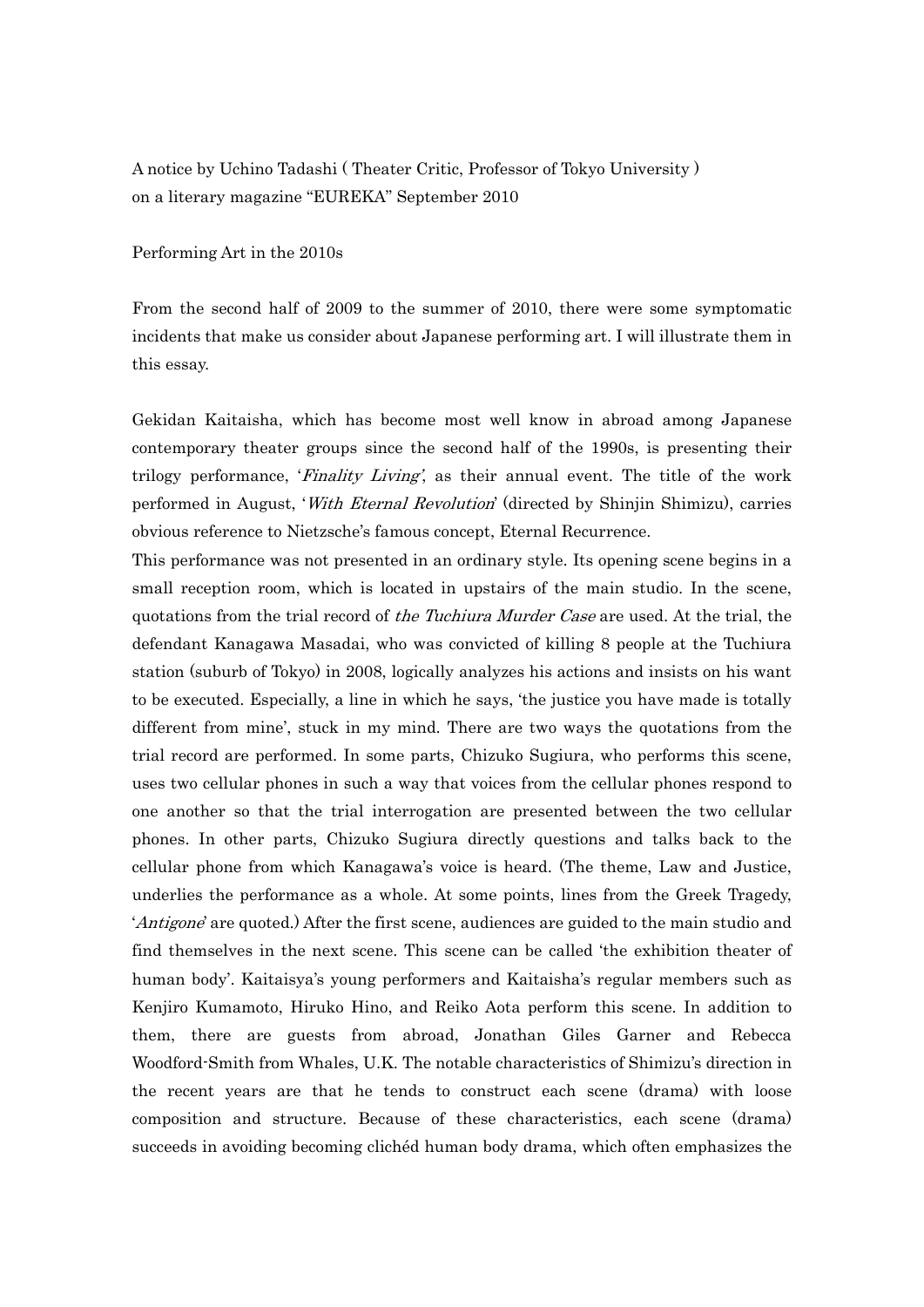A notice by Uchino Tadashi ( Theater Critic, Professor of Tokyo University ) on a literary magazine "EUREKA" September 2010

## Performing Art in the 2010s

From the second half of 2009 to the summer of 2010, there were some symptomatic incidents that make us consider about Japanese performing art. I will illustrate them in this essay.

Gekidan Kaitaisha, which has become most well know in abroad among Japanese contemporary theater groups since the second half of the 1990s, is presenting their trilogy performance, 'Finality Living', as their annual event. The title of the work performed in August, *With Eternal Revolution*' (directed by Shinjin Shimizu), carries obvious reference to Nietzsche's famous concept, Eternal Recurrence.

This performance was not presented in an ordinary style. Its opening scene begins in a small reception room, which is located in upstairs of the main studio. In the scene, quotations from the trial record of the Tuchiura Murder Case are used. At the trial, the defendant Kanagawa Masadai, who was convicted of killing 8 people at the Tuchiura station (suburb of Tokyo) in 2008, logically analyzes his actions and insists on his want to be executed. Especially, a line in which he says, 'the justice you have made is totally different from mine', stuck in my mind. There are two ways the quotations from the trial record are performed. In some parts, Chizuko Sugiura, who performs this scene, uses two cellular phones in such a way that voices from the cellular phones respond to one another so that the trial interrogation are presented between the two cellular phones. In other parts, Chizuko Sugiura directly questions and talks back to the cellular phone from which Kanagawa's voice is heard. (The theme, Law and Justice, underlies the performance as a whole. At some points, lines from the Greek Tragedy, 'Antigone' are quoted.) After the first scene, audiences are guided to the main studio and find themselves in the next scene. This scene can be called 'the exhibition theater of human body'. Kaitaisya's young performers and Kaitaisha's regular members such as Kenjiro Kumamoto, Hiruko Hino, and Reiko Aota perform this scene. In addition to them, there are guests from abroad, Jonathan Giles Garner and Rebecca Woodford-Smith from Whales, U.K. The notable characteristics of Shimizu's direction in the recent years are that he tends to construct each scene (drama) with loose composition and structure. Because of these characteristics, each scene (drama) succeeds in avoiding becoming clichéd human body drama, which often emphasizes the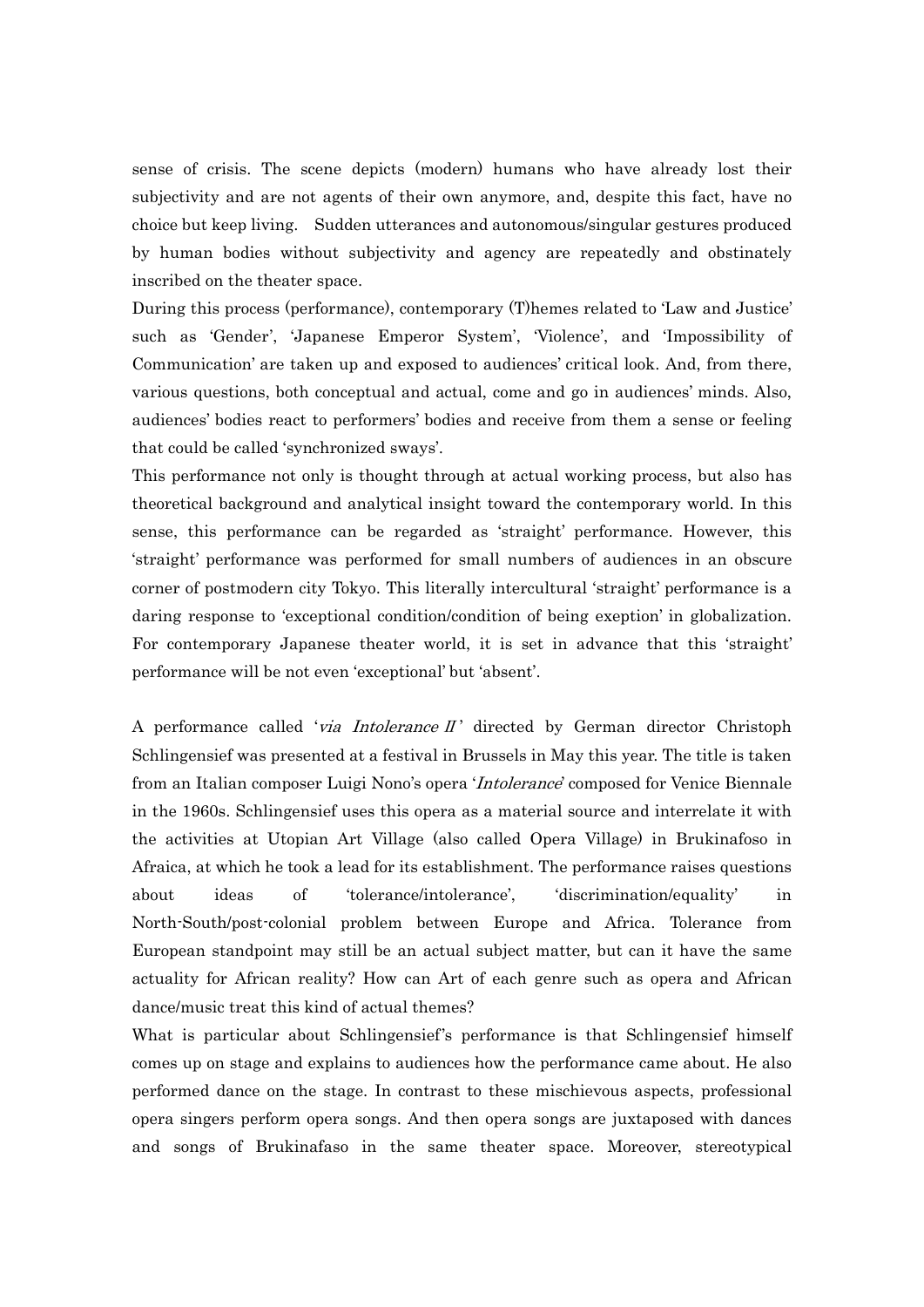sense of crisis. The scene depicts (modern) humans who have already lost their subjectivity and are not agents of their own anymore, and, despite this fact, have no choice but keep living. Sudden utterances and autonomous/singular gestures produced by human bodies without subjectivity and agency are repeatedly and obstinately inscribed on the theater space.

During this process (performance), contemporary (T)hemes related to 'Law and Justice' such as 'Gender', 'Japanese Emperor System', 'Violence', and 'Impossibility of Communication' are taken up and exposed to audiences' critical look. And, from there, various questions, both conceptual and actual, come and go in audiences' minds. Also, audiences' bodies react to performers' bodies and receive from them a sense or feeling that could be called 'synchronized sways'.

This performance not only is thought through at actual working process, but also has theoretical background and analytical insight toward the contemporary world. In this sense, this performance can be regarded as 'straight' performance. However, this 'straight' performance was performed for small numbers of audiences in an obscure corner of postmodern city Tokyo. This literally intercultural 'straight' performance is a daring response to 'exceptional condition/condition of being exeption' in globalization. For contemporary Japanese theater world, it is set in advance that this 'straight' performance will be not even 'exceptional' but 'absent'.

A performance called 'via Intolerance II' directed by German director Christoph Schlingensief was presented at a festival in Brussels in May this year. The title is taken from an Italian composer Luigi Nono's opera '*Intolerance*' composed for Venice Biennale in the 1960s. Schlingensief uses this opera as a material source and interrelate it with the activities at Utopian Art Village (also called Opera Village) in Brukinafoso in Afraica, at which he took a lead for its establishment. The performance raises questions about ideas of 'tolerance/intolerance', 'discrimination/equality' in North-South/post-colonial problem between Europe and Africa. Tolerance from European standpoint may still be an actual subject matter, but can it have the same actuality for African reality? How can Art of each genre such as opera and African dance/music treat this kind of actual themes?

What is particular about Schlingensief's performance is that Schlingensief himself comes up on stage and explains to audiences how the performance came about. He also performed dance on the stage. In contrast to these mischievous aspects, professional opera singers perform opera songs. And then opera songs are juxtaposed with dances and songs of Brukinafaso in the same theater space. Moreover, stereotypical